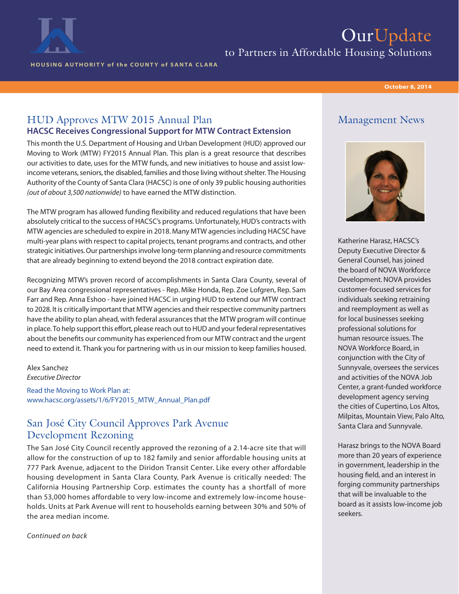

# OurUpdate

to Partners in Affordable Housing Solutions

HOUSING AUTHORITY of the COUNTY of SANTA CLARA

#### October 8, 2014

#### HUD Approves MTW 2015 Annual Plan HACSC Receives Congressional Support for MTW Contract Extension

This month the U.S. Department of Housing and Urban Development (HUD) approved our Moving to Work (MTW) FY2015 Annual Plan. This plan is a great resource that describes our activities to date, uses for the MTW funds, and new initiatives to house and assist lowincome veterans, seniors, the disabled, families and those living without shelter. The Housing Authority of the County of Santa Clara (HACSC) is one of only 39 public housing authorities *(out of about 3,500 nationwide)* to have earned the MTW distinction.

The MTW program has allowed funding flexibility and reduced regulations that have been absolutely critical to the success of HACSC's programs. Unfortunately, HUD's contracts with MTW agencies are scheduled to expire in 2018. Many MTW agencies including HACSC have multi-year plans with respect to capital projects, tenant programs and contracts, and other strategic initiatives. Our partnerships involve long-term planning and resource commitments that are already beginning to extend beyond the 2018 contract expiration date.

Recognizing MTW's proven record of accomplishments in Santa Clara County, several of our Bay Area congressional representatives - Rep. Mike Honda, Rep. Zoe Lofgren, Rep. Sam Farr and Rep. Anna Eshoo - have joined HACSC in urging HUD to extend our MTW contract to 2028. It is critically important that MTW agencies and their respective community partners have the ability to plan ahead, with federal assurances that the MTW program will continue in place. To help support this effort, please reach out to HUD and your federal representatives about the benefits our community has experienced from our MTW contract and the urgent need to extend it. Thank you for partnering with us in our mission to keep families housed.

Alex Sanchez *Executive Director* Read the Moving to Work Plan at: www.hacsc.org/assets/1/6/FY2015\_MTW\_Annual\_Plan.pdf

### San José City Council Approves Park Avenue Development Rezoning

The San José City Council recently approved the rezoning of a 2.14-acre site that will allow for the construction of up to 182 family and senior affordable housing units at 777 Park Avenue, adjacent to the Diridon Transit Center. Like every other affordable housing development in Santa Clara County, Park Avenue is critically needed: The California Housing Partnership Corp. estimates the county has a shortfall of more than 53,000 homes affordable to very low-income and extremely low-income households. Units at Park Avenue will rent to households earning between 30% and 50% of the area median income.

*Continued on back*

### Management News



Katherine Harasz, HACSC's Deputy Executive Director & General Counsel, has joined the board of NOVA Workforce Development. NOVA provides customer-focused services for individuals seeking retraining and reemployment as well as for local businesses seeking professional solutions for human resource issues. The NOVA Workforce Board, in conjunction with the City of Sunnyvale, oversees the services and activities of the NOVA Job Center, a grant-funded workforce development agency serving the cities of Cupertino, Los Altos, Milpitas, Mountain View, Palo Alto, Santa Clara and Sunnyvale.

Harasz brings to the NOVA Board more than 20 years of experience in government, leadership in the housing field, and an interest in forging community partnerships that will be invaluable to the board as it assists low-income job seekers.